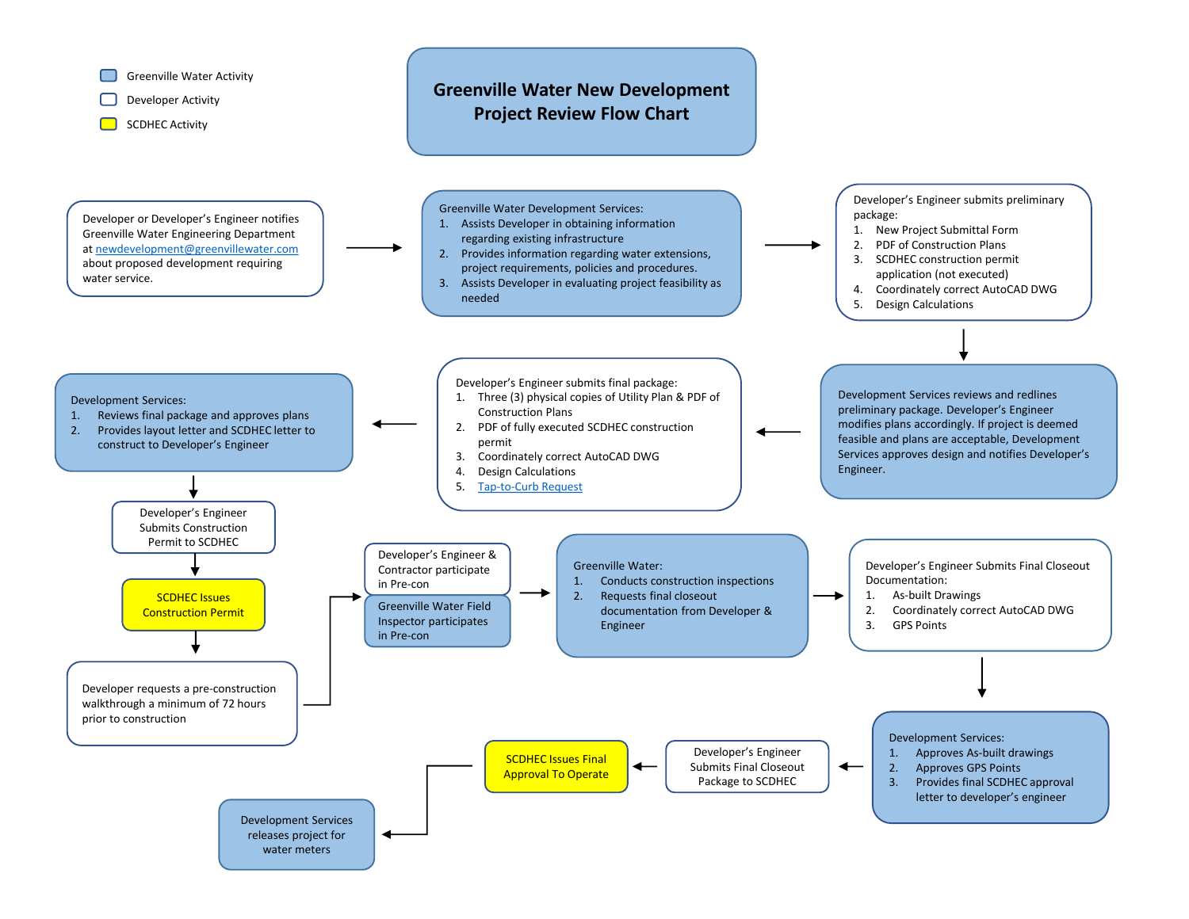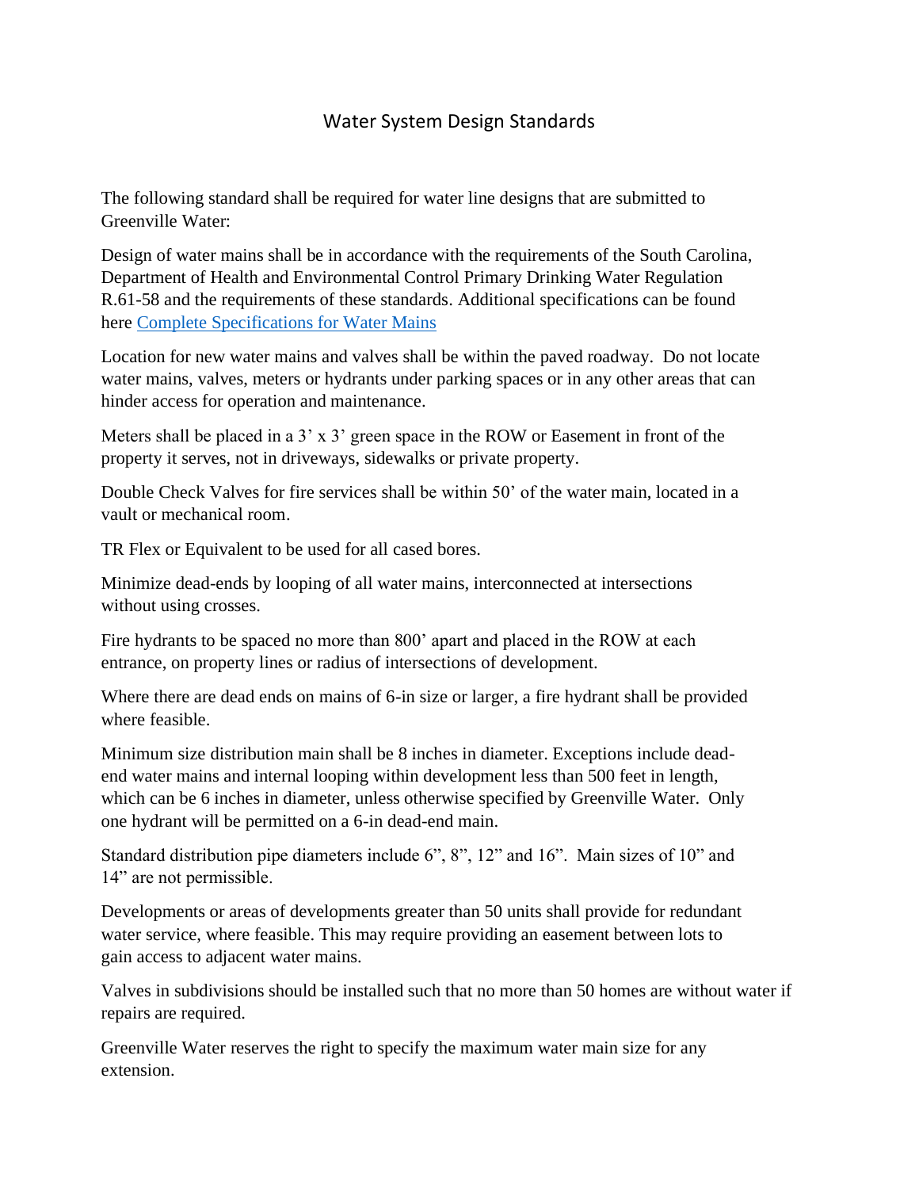# Water System Design Standards

The following standard shall be required for water line designs that are submitted to Greenville Water:

Design of water mains shall be in accordance with the requirements of the South Carolina, Department of Health and Environmental Control Primary Drinking Water Regulation R.61-58 and the requirements of these standards. Additional specifications can be found here [Complete Specifications for Water Mains](https://www.greenvillewater.com/wp-content/uploads/2021/02/Greenville-Water-Construction-Specs-2019.pdf)

Location for new water mains and valves shall be within the paved roadway. Do not locate water mains, valves, meters or hydrants under parking spaces or in any other areas that can hinder access for operation and maintenance.

Meters shall be placed in a  $3' \times 3'$  green space in the ROW or Easement in front of the property it serves, not in driveways, sidewalks or private property.

Double Check Valves for fire services shall be within 50' of the water main, located in a vault or mechanical room.

TR Flex or Equivalent to be used for all cased bores.

Minimize dead-ends by looping of all water mains, interconnected at intersections without using crosses.

Fire hydrants to be spaced no more than 800' apart and placed in the ROW at each entrance, on property lines or radius of intersections of development.

Where there are dead ends on mains of 6-in size or larger, a fire hydrant shall be provided where feasible.

Minimum size distribution main shall be 8 inches in diameter. Exceptions include deadend water mains and internal looping within development less than 500 feet in length, which can be 6 inches in diameter, unless otherwise specified by Greenville Water. Only one hydrant will be permitted on a 6-in dead-end main.

Standard distribution pipe diameters include 6", 8", 12" and 16". Main sizes of 10" and 14" are not permissible.

Developments or areas of developments greater than 50 units shall provide for redundant water service, where feasible. This may require providing an easement between lots to gain access to adjacent water mains.

Valves in subdivisions should be installed such that no more than 50 homes are without water if repairs are required.

Greenville Water reserves the right to specify the maximum water main size for any extension.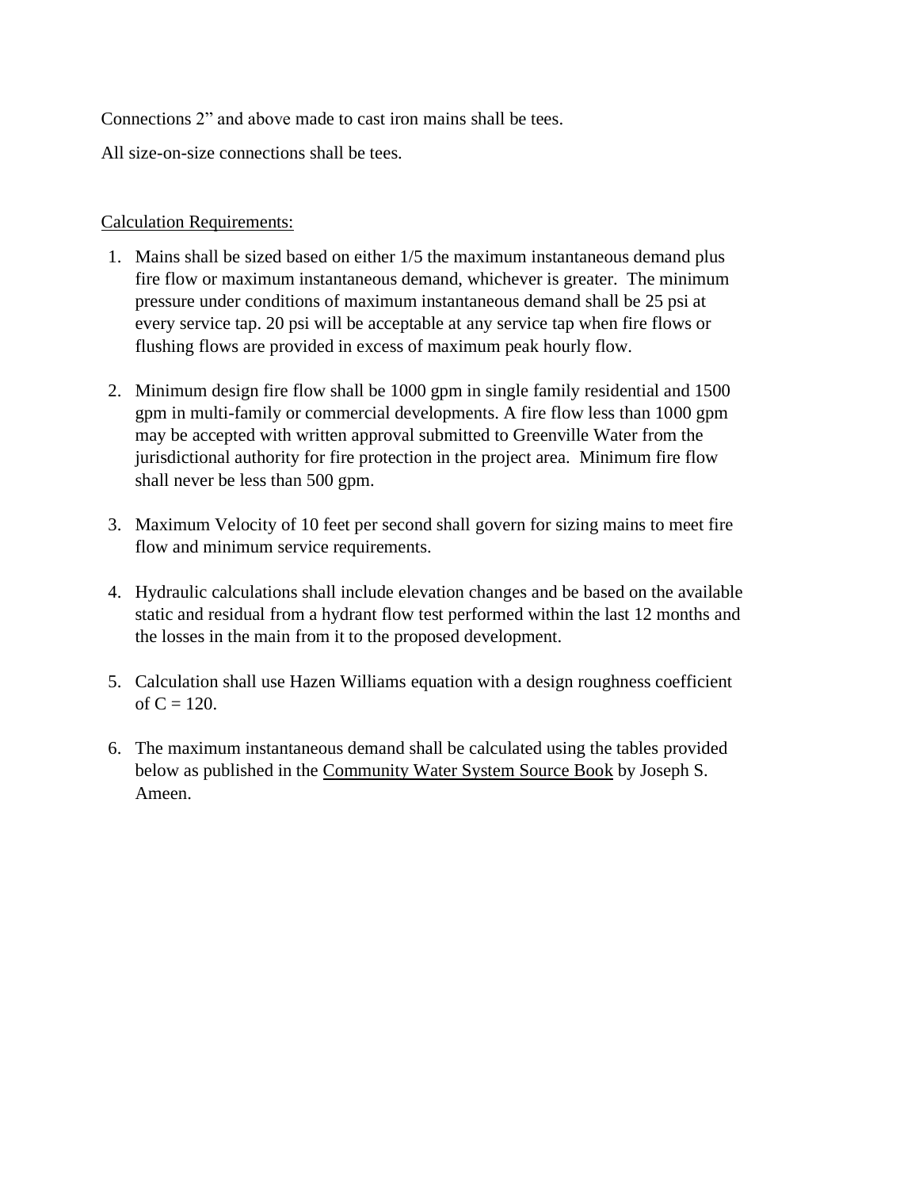Connections 2" and above made to cast iron mains shall be tees.

All size-on-size connections shall be tees.

#### Calculation Requirements:

- 1. Mains shall be sized based on either 1/5 the maximum instantaneous demand plus fire flow or maximum instantaneous demand, whichever is greater. The minimum pressure under conditions of maximum instantaneous demand shall be 25 psi at every service tap. 20 psi will be acceptable at any service tap when fire flows or flushing flows are provided in excess of maximum peak hourly flow.
- 2. Minimum design fire flow shall be 1000 gpm in single family residential and 1500 gpm in multi-family or commercial developments. A fire flow less than 1000 gpm may be accepted with written approval submitted to Greenville Water from the jurisdictional authority for fire protection in the project area. Minimum fire flow shall never be less than 500 gpm.
- 3. Maximum Velocity of 10 feet per second shall govern for sizing mains to meet fire flow and minimum service requirements.
- 4. Hydraulic calculations shall include elevation changes and be based on the available static and residual from a hydrant flow test performed within the last 12 months and the losses in the main from it to the proposed development.
- 5. Calculation shall use Hazen Williams equation with a design roughness coefficient of  $C = 120$ .
- 6. The maximum instantaneous demand shall be calculated using the tables provided below as published in the Community Water System Source Book by Joseph S. Ameen.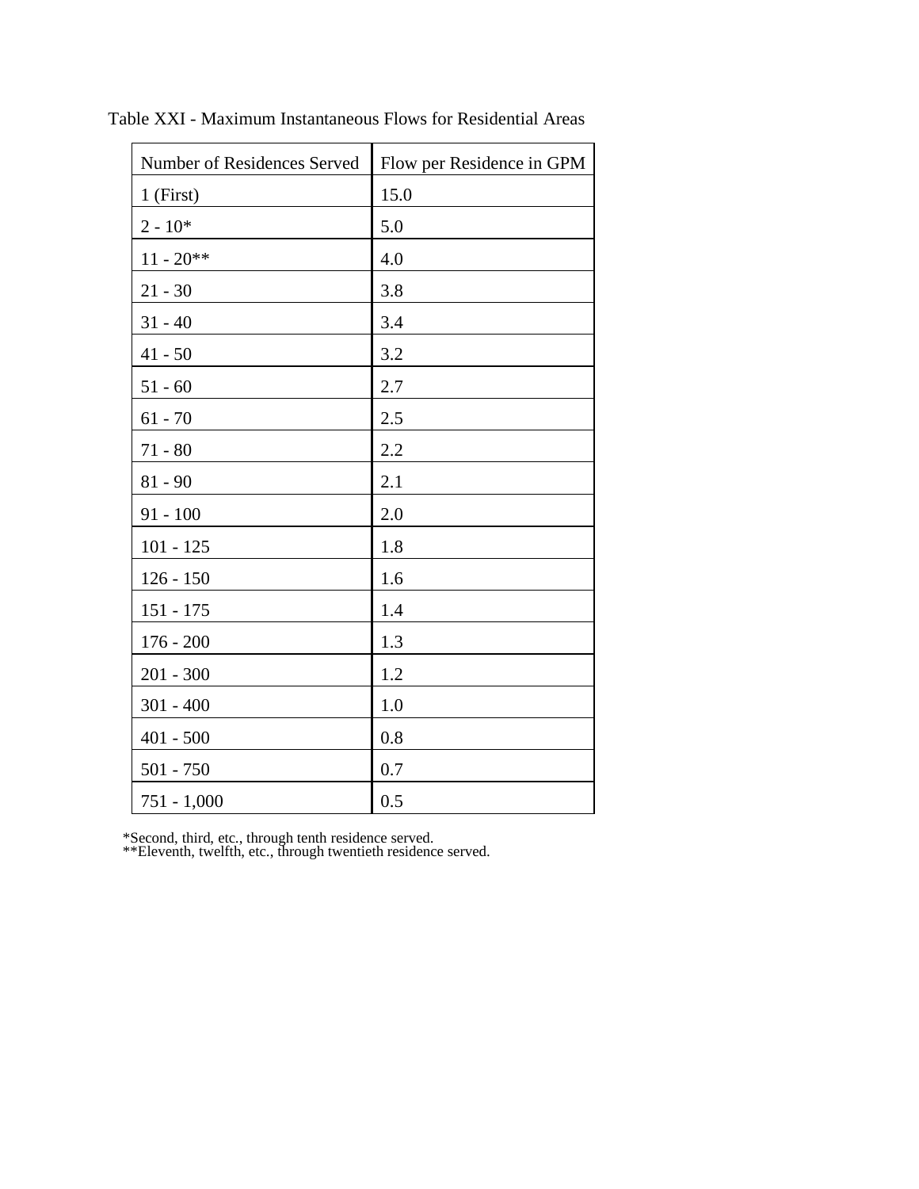| Number of Residences Served | Flow per Residence in GPM |
|-----------------------------|---------------------------|
| $1$ (First)                 | 15.0                      |
| $2 - 10*$                   | 5.0                       |
| $11 - 20**$                 | 4.0                       |
| $21 - 30$                   | 3.8                       |
| $31 - 40$                   | 3.4                       |
| $41 - 50$                   | 3.2                       |
| $51 - 60$                   | 2.7                       |
| $61 - 70$                   | 2.5                       |
| $71 - 80$                   | 2.2                       |
| $81 - 90$                   | 2.1                       |
| $91 - 100$                  | 2.0                       |
| $101 - 125$                 | 1.8                       |
| $126 - 150$                 | 1.6                       |
| $151 - 175$                 | 1.4                       |
| $176 - 200$                 | 1.3                       |
| $201 - 300$                 | 1.2                       |
| $301 - 400$                 | 1.0                       |
| $401 - 500$                 | 0.8                       |
| $501 - 750$                 | 0.7                       |
| $751 - 1,000$               | 0.5                       |

Table XXI - Maximum Instantaneous Flows for Residential Areas

\*Second, third, etc., through tenth residence served.

\*\*Eleventh, twelfth, etc., through twentieth residence served.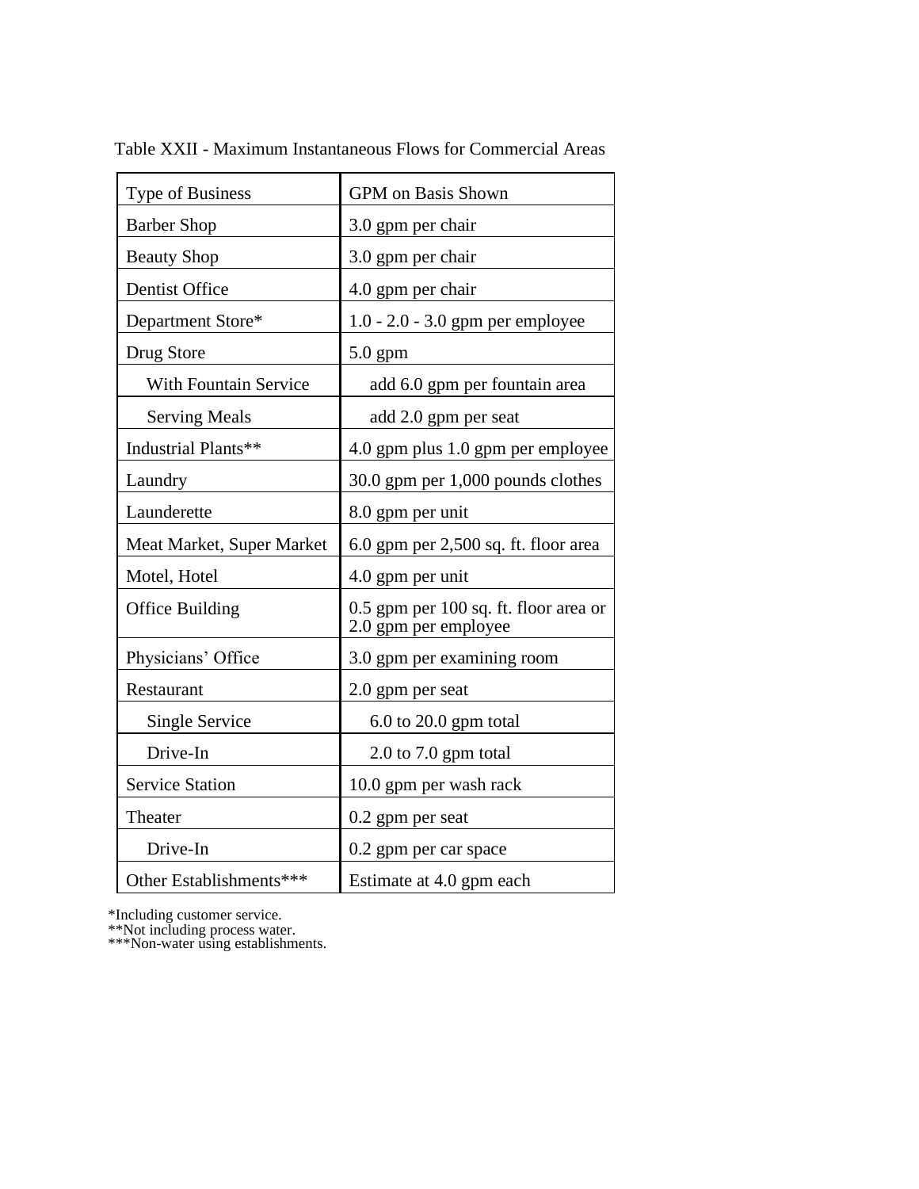| Type of Business             | GPM on Basis Shown                                            |
|------------------------------|---------------------------------------------------------------|
| <b>Barber Shop</b>           | 3.0 gpm per chair                                             |
| <b>Beauty Shop</b>           | 3.0 gpm per chair                                             |
| Dentist Office               | 4.0 gpm per chair                                             |
| Department Store*            | 1.0 - 2.0 - 3.0 gpm per employee                              |
| Drug Store                   | $5.0$ gpm                                                     |
| <b>With Fountain Service</b> | add 6.0 gpm per fountain area                                 |
| <b>Serving Meals</b>         | add 2.0 gpm per seat                                          |
| Industrial Plants**          | 4.0 gpm plus 1.0 gpm per employee                             |
| Laundry                      | 30.0 gpm per 1,000 pounds clothes                             |
| Launderette                  | 8.0 gpm per unit                                              |
| Meat Market, Super Market    | $6.0$ gpm per $2,500$ sq. ft. floor area                      |
| Motel, Hotel                 | 4.0 gpm per unit                                              |
| Office Building              | 0.5 gpm per 100 sq. ft. floor area or<br>2.0 gpm per employee |
| Physicians' Office           | 3.0 gpm per examining room                                    |
| Restaurant                   | 2.0 gpm per seat                                              |
| Single Service               | $6.0$ to 20.0 gpm total                                       |
| Drive-In                     | 2.0 to 7.0 gpm total                                          |
| <b>Service Station</b>       | 10.0 gpm per wash rack                                        |
| Theater                      | 0.2 gpm per seat                                              |
| Drive-In                     | 0.2 gpm per car space                                         |
| Other Establishments***      | Estimate at 4.0 gpm each                                      |

Table XXII - Maximum Instantaneous Flows for Commercial Areas

\*Including customer service.

\*\*Not including process water.

\*\*\*Non-water using establishments.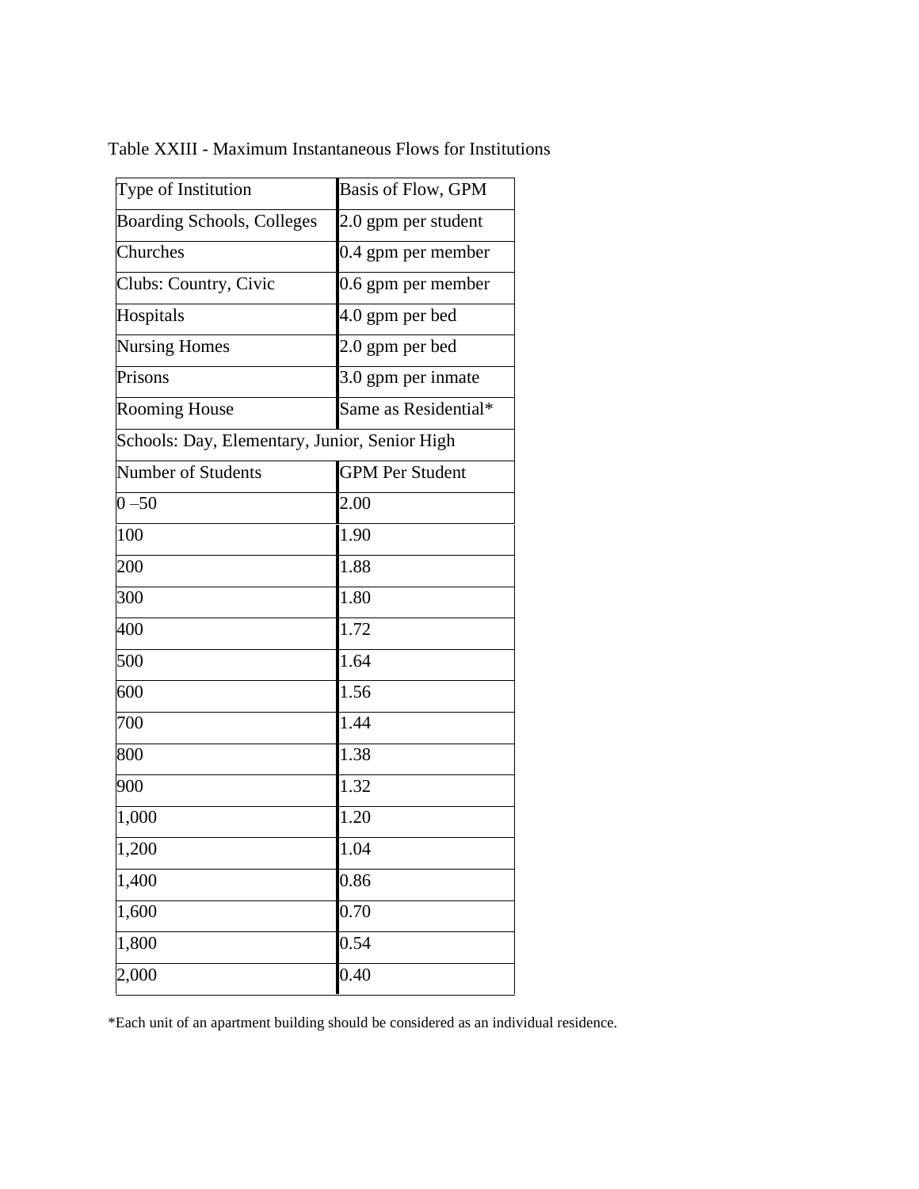| Type of Institution                           | Basis of Flow, GPM     |
|-----------------------------------------------|------------------------|
| <b>Boarding Schools, Colleges</b>             | 2.0 gpm per student    |
| Churches                                      | 0.4 gpm per member     |
| Clubs: Country, Civic                         | 0.6 gpm per member     |
| Hospitals                                     | 4.0 gpm per bed        |
| <b>Nursing Homes</b>                          | 2.0 gpm per bed        |
| Prisons                                       | 3.0 gpm per inmate     |
| <b>Rooming House</b>                          | Same as Residential*   |
| Schools: Day, Elementary, Junior, Senior High |                        |
| <b>Number of Students</b>                     | <b>GPM Per Student</b> |
| $0 - 50$                                      | 2.00                   |
| 100                                           | 1.90                   |
| 200                                           | 1.88                   |
| 300                                           | 1.80                   |
| 400                                           | $\overline{1.72}$      |
| 500                                           | 1.64                   |
| 600                                           | 1.56                   |
| 700                                           | 1.44                   |
| 800                                           | 1.38                   |
| 900                                           | 1.32                   |
| 1,000                                         | 1.20                   |
| 1,200                                         | 1.04                   |
| 1,400                                         | 0.86                   |
| 1,600                                         | 0.70                   |
| 1,800                                         | 0.54                   |
| 2,000                                         | 0.40                   |

Table XXIII - Maximum Instantaneous Flows for Institutions

\*Each unit of an apartment building should be considered as an individual residence.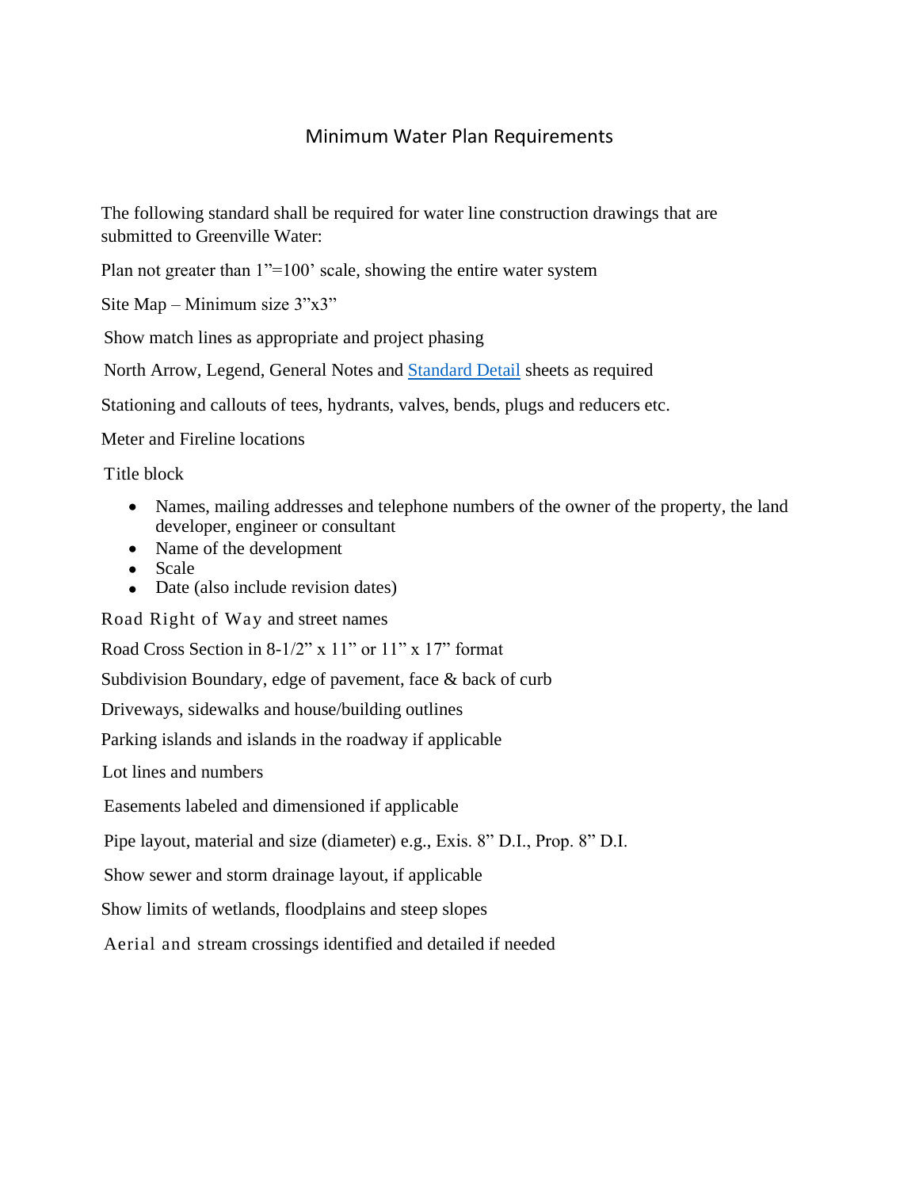### Minimum Water Plan Requirements

The following standard shall be required for water line construction drawings that are submitted to Greenville Water:

Plan not greater than  $1" = 100'$  scale, showing the entire water system

Site Map – Minimum size 3"x3"

Show match lines as appropriate and project phasing

North Arrow, Legend, General Notes and [Standard Detail](https://www.greenvillewater.com/standard-details/) sheets as required

Stationing and callouts of tees, hydrants, valves, bends, plugs and reducers etc.

Meter and Fireline locations

Title block

- Names, mailing addresses and telephone numbers of the owner of the property, the land developer, engineer or consultant
- Name of the development
- Scale
- Date (also include revision dates)

Road Right of Way and street names

Road Cross Section in 8-1/2" x 11" or 11" x 17" format

Subdivision Boundary, edge of pavement, face & back of curb

Driveways, sidewalks and house/building outlines

Parking islands and islands in the roadway if applicable

Lot lines and numbers

Easements labeled and dimensioned if applicable

Pipe layout, material and size (diameter) e.g., Exis. 8" D.I., Prop. 8" D.I.

Show sewer and storm drainage layout, if applicable

Show limits of wetlands, floodplains and steep slopes

Aerial and stream crossings identified and detailed if needed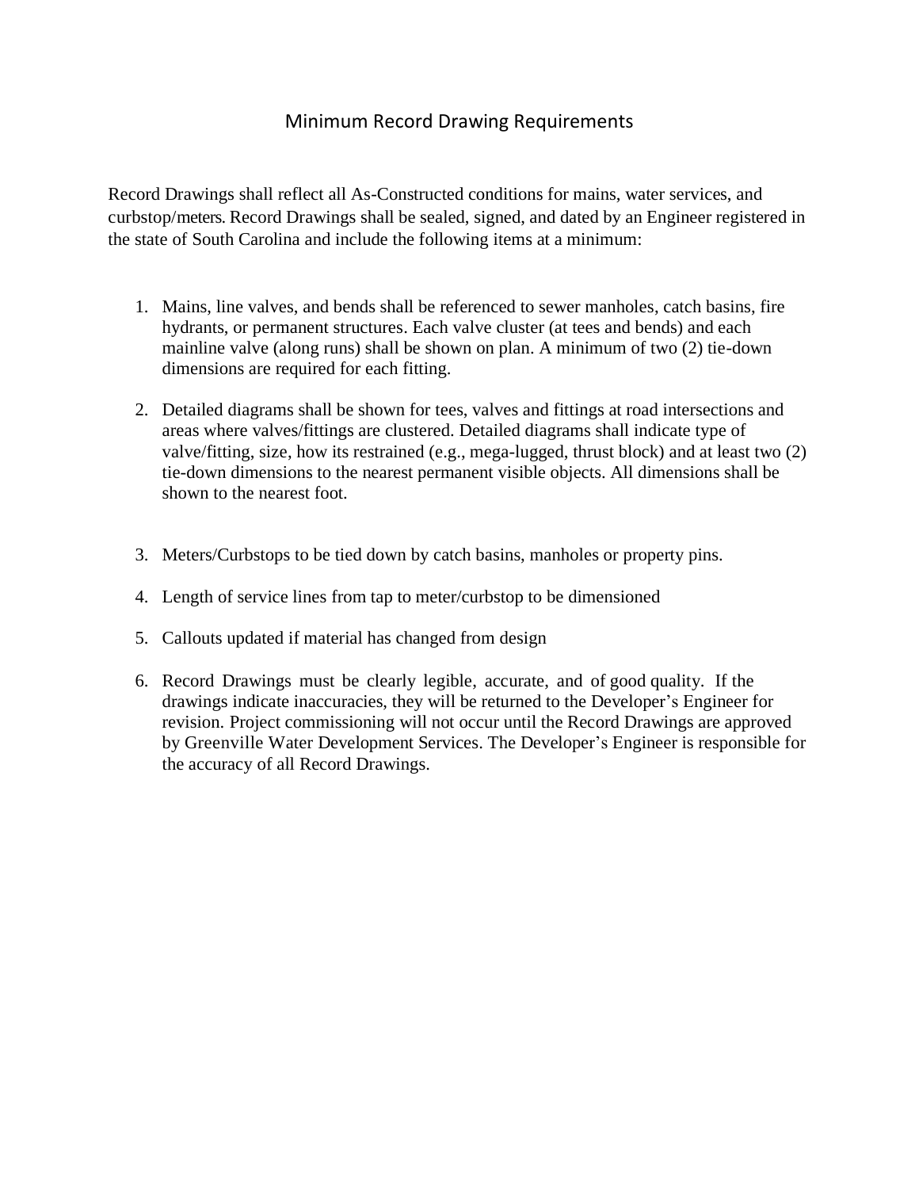# Minimum Record Drawing Requirements

Record Drawings shall reflect all As-Constructed conditions for mains, water services, and curbstop/meters. Record Drawings shall be sealed, signed, and dated by an Engineer registered in the state of South Carolina and include the following items at a minimum:

- 1. Mains, line valves, and bends shall be referenced to sewer manholes, catch basins, fire hydrants, or permanent structures. Each valve cluster (at tees and bends) and each mainline valve (along runs) shall be shown on plan. A minimum of two (2) tie-down dimensions are required for each fitting.
- 2. Detailed diagrams shall be shown for tees, valves and fittings at road intersections and areas where valves/fittings are clustered. Detailed diagrams shall indicate type of valve/fitting, size, how its restrained (e.g., mega-lugged, thrust block) and at least two (2) tie-down dimensions to the nearest permanent visible objects. All dimensions shall be shown to the nearest foot.
- 3. Meters/Curbstops to be tied down by catch basins, manholes or property pins.
- 4. Length of service lines from tap to meter/curbstop to be dimensioned
- 5. Callouts updated if material has changed from design
- 6. Record Drawings must be clearly legible, accurate, and of good quality. If the drawings indicate inaccuracies, they will be returned to the Developer's Engineer for revision. Project commissioning will not occur until the Record Drawings are approved by Greenville Water Development Services. The Developer's Engineer is responsible for the accuracy of all Record Drawings.